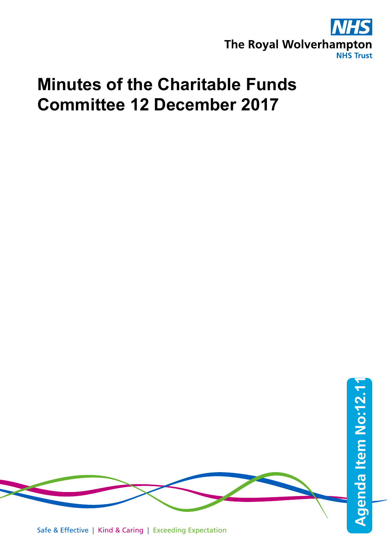

## **Minutes of the Charitable Funds Committee 12 December 2017**



Safe & Effective | Kind & Caring | Exceeding Expectation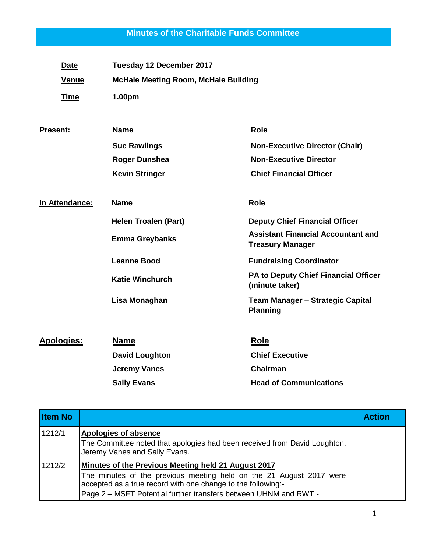## **Minutes of the Charitable Funds Committee**

| <b>Date</b>       | Tuesday 12 December 2017                    |                                                                      |
|-------------------|---------------------------------------------|----------------------------------------------------------------------|
| <b>Venue</b>      | <b>McHale Meeting Room, McHale Building</b> |                                                                      |
| <b>Time</b>       | 1.00pm                                      |                                                                      |
| <b>Present:</b>   | <b>Name</b>                                 | <b>Role</b>                                                          |
|                   | <b>Sue Rawlings</b>                         | <b>Non-Executive Director (Chair)</b>                                |
|                   | <b>Roger Dunshea</b>                        | <b>Non-Executive Director</b>                                        |
|                   | <b>Kevin Stringer</b>                       | <b>Chief Financial Officer</b>                                       |
| In Attendance:    | <b>Name</b>                                 | <b>Role</b>                                                          |
|                   | <b>Helen Troalen (Part)</b>                 | <b>Deputy Chief Financial Officer</b>                                |
|                   | <b>Emma Greybanks</b>                       | <b>Assistant Financial Accountant and</b><br><b>Treasury Manager</b> |
|                   | <b>Leanne Bood</b>                          | <b>Fundraising Coordinator</b>                                       |
|                   | <b>Katie Winchurch</b>                      | PA to Deputy Chief Financial Officer<br>(minute taker)               |
|                   | Lisa Monaghan                               | <b>Team Manager - Strategic Capital</b><br><b>Planning</b>           |
| <b>Apologies:</b> | <b>Name</b>                                 | Role                                                                 |
|                   | <b>David Loughton</b>                       | <b>Chief Executive</b>                                               |
|                   | <b>Jeremy Vanes</b>                         | Chairman                                                             |
|                   | <b>Sally Evans</b>                          | <b>Head of Communications</b>                                        |

| <b>Item No</b> |                                                                                                                                                                                                                                                                | <b>Action</b> |
|----------------|----------------------------------------------------------------------------------------------------------------------------------------------------------------------------------------------------------------------------------------------------------------|---------------|
| 1212/1         | Apologies of absence<br>The Committee noted that apologies had been received from David Loughton,<br>Jeremy Vanes and Sally Evans.                                                                                                                             |               |
| 1212/2         | Minutes of the Previous Meeting held 21 August 2017<br>The minutes of the previous meeting held on the 21 August 2017 were<br>accepted as a true record with one change to the following:-<br>Page 2 – MSFT Potential further transfers between UHNM and RWT - |               |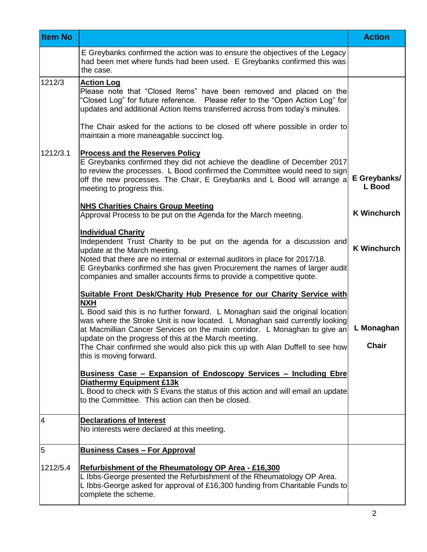| <b>Item No</b> |                                                                                                                                                                                                                                                                                                                                                                                                                                                                                                                                                                                                                                                                                                                                                           | <b>Action</b>              |
|----------------|-----------------------------------------------------------------------------------------------------------------------------------------------------------------------------------------------------------------------------------------------------------------------------------------------------------------------------------------------------------------------------------------------------------------------------------------------------------------------------------------------------------------------------------------------------------------------------------------------------------------------------------------------------------------------------------------------------------------------------------------------------------|----------------------------|
|                | E Greybanks confirmed the action was to ensure the objectives of the Legacy<br>had been met where funds had been used. E Greybanks confirmed this was<br>the case.                                                                                                                                                                                                                                                                                                                                                                                                                                                                                                                                                                                        |                            |
| 1212/3         | <b>Action Log</b><br>Please note that "Closed Items" have been removed and placed on the<br>'Closed Log" for future reference.  Please refer to the "Open Action Log" for<br>updates and additional Action Items transferred across from today's minutes.                                                                                                                                                                                                                                                                                                                                                                                                                                                                                                 |                            |
|                | The Chair asked for the actions to be closed off where possible in order to<br>maintain a more maneagable succinct log.                                                                                                                                                                                                                                                                                                                                                                                                                                                                                                                                                                                                                                   |                            |
| 1212/3.1       | <b>Process and the Reserves Policy</b><br>E Greybanks confirmed they did not achieve the deadline of December 2017<br>to review the processes. L Bood confirmed the Committee would need to sign<br>off the new processes. The Chair, E Greybanks and L Bood will arrange a<br>meeting to progress this.                                                                                                                                                                                                                                                                                                                                                                                                                                                  | E Greybanks/<br>L Bood     |
|                | <b>NHS Charities Chairs Group Meeting</b><br>Approval Process to be put on the Agenda for the March meeting.                                                                                                                                                                                                                                                                                                                                                                                                                                                                                                                                                                                                                                              | <b>K Winchurch</b>         |
|                | <b>Individual Charity</b><br>Independent Trust Charity to be put on the agenda for a discussion and<br>update at the March meeting.<br>Noted that there are no internal or external auditors in place for 2017/18.<br>E Greybanks confirmed she has given Procurement the names of larger audit<br>companies and smaller accounts firms to provide a competitive quote.                                                                                                                                                                                                                                                                                                                                                                                   | <b>K Winchurch</b>         |
|                | <b>Suitable Front Desk/Charity Hub Presence for our Charity Service with</b><br><b>NXH</b><br>L Bood said this is no further forward. L Monaghan said the original location<br>was where the Stroke Unit is now located. L Monaghan said currently looking<br>at Macmillian Cancer Services on the main corridor. L Monaghan to give an<br>update on the progress of this at the March meeting.<br>The Chair confirmed she would also pick this up with Alan Duffell to see how<br>this is moving forward.<br>Business Case - Expansion of Endoscopy Services - Including Ebre<br><b>Diathermy Equipment £13k</b><br>L Bood to check with S Evans the status of this action and will email an update<br>to the Committee. This action can then be closed. | L Monaghan<br><b>Chair</b> |
| 4              | <b>Declarations of Interest</b><br>No interests were declared at this meeting.                                                                                                                                                                                                                                                                                                                                                                                                                                                                                                                                                                                                                                                                            |                            |
| 5              | <b>Business Cases - For Approval</b>                                                                                                                                                                                                                                                                                                                                                                                                                                                                                                                                                                                                                                                                                                                      |                            |
| 1212/5.4       | Refurbishment of the Rheumatology OP Area - £16,300<br>L Ibbs-George presented the Refurbishment of the Rheumatology OP Area.<br>L Ibbs-George asked for approval of £16,300 funding from Charitable Funds to<br>complete the scheme.                                                                                                                                                                                                                                                                                                                                                                                                                                                                                                                     |                            |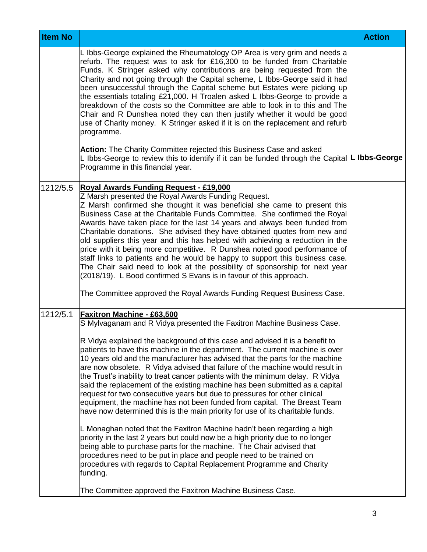| <b>Item No</b> |                                                                                                                                                                                                                                                                                                                                                                                                                                                                                                                                                                                                                                                                                                                                                                                                                                                                                                                                                                                                                                                                                                                                                                                                                                                                                                                  | <b>Action</b> |
|----------------|------------------------------------------------------------------------------------------------------------------------------------------------------------------------------------------------------------------------------------------------------------------------------------------------------------------------------------------------------------------------------------------------------------------------------------------------------------------------------------------------------------------------------------------------------------------------------------------------------------------------------------------------------------------------------------------------------------------------------------------------------------------------------------------------------------------------------------------------------------------------------------------------------------------------------------------------------------------------------------------------------------------------------------------------------------------------------------------------------------------------------------------------------------------------------------------------------------------------------------------------------------------------------------------------------------------|---------------|
|                | L Ibbs-George explained the Rheumatology OP Area is very grim and needs a<br>refurb. The request was to ask for £16,300 to be funded from Charitable<br>Funds. K Stringer asked why contributions are being requested from the<br>Charity and not going through the Capital scheme, L Ibbs-George said it had<br>been unsuccessful through the Capital scheme but Estates were picking up<br>the essentials totaling £21,000. H Troalen asked L Ibbs-George to provide a<br>breakdown of the costs so the Committee are able to look in to this and The<br>Chair and R Dunshea noted they can then justify whether it would be good<br>use of Charity money. K Stringer asked if it is on the replacement and refurb<br>programme.                                                                                                                                                                                                                                                                                                                                                                                                                                                                                                                                                                               |               |
|                | Action: The Charity Committee rejected this Business Case and asked<br>L Ibbs-George to review this to identify if it can be funded through the Capital  L Ibbs-George<br>Programme in this financial year.                                                                                                                                                                                                                                                                                                                                                                                                                                                                                                                                                                                                                                                                                                                                                                                                                                                                                                                                                                                                                                                                                                      |               |
| 1212/5.5       | <b>Royal Awards Funding Request - £19,000</b><br>Z Marsh presented the Royal Awards Funding Request.<br>Z Marsh confirmed she thought it was beneficial she came to present this<br>Business Case at the Charitable Funds Committee. She confirmed the Royal<br>Awards have taken place for the last 14 years and always been funded from<br>Charitable donations. She advised they have obtained quotes from new and<br>old suppliers this year and this has helped with achieving a reduction in the<br>price with it being more competitive. R Dunshea noted good performance of<br>staff links to patients and he would be happy to support this business case.<br>The Chair said need to look at the possibility of sponsorship for next year<br>(2018/19). L Bood confirmed S Evans is in favour of this approach.<br>The Committee approved the Royal Awards Funding Request Business Case.                                                                                                                                                                                                                                                                                                                                                                                                               |               |
| 1212/5.1       | Faxitron Machine - £63,500<br>S Mylvaganam and R Vidya presented the Faxitron Machine Business Case.<br>R Vidya explained the background of this case and advised it is a benefit to<br>patients to have this machine in the department. The current machine is over<br>10 years old and the manufacturer has advised that the parts for the machine<br>are now obsolete. R Vidya advised that failure of the machine would result in<br>the Trust's inability to treat cancer patients with the minimum delay. R Vidya<br>said the replacement of the existing machine has been submitted as a capital<br>request for two consecutive years but due to pressures for other clinical<br>equipment, the machine has not been funded from capital. The Breast Team<br>have now determined this is the main priority for use of its charitable funds.<br>L Monaghan noted that the Faxitron Machine hadn't been regarding a high<br>priority in the last 2 years but could now be a high priority due to no longer<br>being able to purchase parts for the machine. The Chair advised that<br>procedures need to be put in place and people need to be trained on<br>procedures with regards to Capital Replacement Programme and Charity<br>funding.<br>The Committee approved the Faxitron Machine Business Case. |               |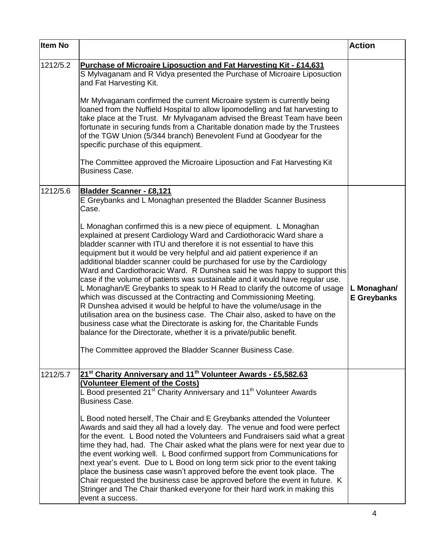| <b>Item No</b> |                                                                                                                                                                                                                                                                                                                                                                                                                                                                                                                                                                                                                                                                                                                                                                                                                                                                                                                                                                                                                                                                  | <b>Action</b>                     |
|----------------|------------------------------------------------------------------------------------------------------------------------------------------------------------------------------------------------------------------------------------------------------------------------------------------------------------------------------------------------------------------------------------------------------------------------------------------------------------------------------------------------------------------------------------------------------------------------------------------------------------------------------------------------------------------------------------------------------------------------------------------------------------------------------------------------------------------------------------------------------------------------------------------------------------------------------------------------------------------------------------------------------------------------------------------------------------------|-----------------------------------|
| 1212/5.2       | <b>Purchase of Microaire Liposuction and Fat Harvesting Kit - £14,631</b><br>S Mylvaganam and R Vidya presented the Purchase of Microaire Liposuction<br>and Fat Harvesting Kit.                                                                                                                                                                                                                                                                                                                                                                                                                                                                                                                                                                                                                                                                                                                                                                                                                                                                                 |                                   |
|                | Mr Mylvaganam confirmed the current Microaire system is currently being<br>loaned from the Nuffield Hospital to allow lipomodelling and fat harvesting to<br>take place at the Trust. Mr Mylvaganam advised the Breast Team have been<br>fortunate in securing funds from a Charitable donation made by the Trustees<br>of the TGW Union (5/344 branch) Benevolent Fund at Goodyear for the<br>specific purchase of this equipment.                                                                                                                                                                                                                                                                                                                                                                                                                                                                                                                                                                                                                              |                                   |
|                | The Committee approved the Microaire Liposuction and Fat Harvesting Kit<br><b>Business Case.</b>                                                                                                                                                                                                                                                                                                                                                                                                                                                                                                                                                                                                                                                                                                                                                                                                                                                                                                                                                                 |                                   |
| 1212/5.6       | <b>Bladder Scanner - £8,121</b><br>E Greybanks and L Monaghan presented the Bladder Scanner Business<br>Case.                                                                                                                                                                                                                                                                                                                                                                                                                                                                                                                                                                                                                                                                                                                                                                                                                                                                                                                                                    |                                   |
|                | L Monaghan confirmed this is a new piece of equipment. L Monaghan<br>explained at present Cardiology Ward and Cardiothoracic Ward share a<br>bladder scanner with ITU and therefore it is not essential to have this<br>equipment but it would be very helpful and aid patient experience if an<br>additional bladder scanner could be purchased for use by the Cardiology<br>Ward and Cardiothoracic Ward. R Dunshea said he was happy to support this<br>case if the volume of patients was sustainable and it would have regular use.<br>L Monaghan/E Greybanks to speak to H Read to clarify the outcome of usage<br>which was discussed at the Contracting and Commissioning Meeting.<br>R Dunshea advised it would be helpful to have the volume/usage in the<br>utilisation area on the business case. The Chair also, asked to have on the<br>business case what the Directorate is asking for, the Charitable Funds<br>balance for the Directorate, whether it is a private/public benefit.<br>The Committee approved the Bladder Scanner Business Case | L Monaghan/<br><b>E</b> Greybanks |
| 1212/5.7       | 21 <sup>st</sup> Charity Anniversary and 11 <sup>th</sup> Volunteer Awards - £5,582.63<br>(Volunteer Element of the Costs)<br>L Bood presented 21 <sup>st</sup> Charity Anniversary and 11 <sup>th</sup> Volunteer Awards<br><b>Business Case.</b>                                                                                                                                                                                                                                                                                                                                                                                                                                                                                                                                                                                                                                                                                                                                                                                                               |                                   |
|                | L Bood noted herself, The Chair and E Greybanks attended the Volunteer<br>Awards and said they all had a lovely day. The venue and food were perfect<br>for the event. L Bood noted the Volunteers and Fundraisers said what a great<br>time they had, had. The Chair asked what the plans were for next year due to<br>the event working well. L Bood confirmed support from Communications for<br>next year's event. Due to L Bood on long term sick prior to the event taking<br>place the business case wasn't approved before the event took place. The<br>Chair requested the business case be approved before the event in future. K<br>Stringer and The Chair thanked everyone for their hard work in making this<br>event a success.                                                                                                                                                                                                                                                                                                                    |                                   |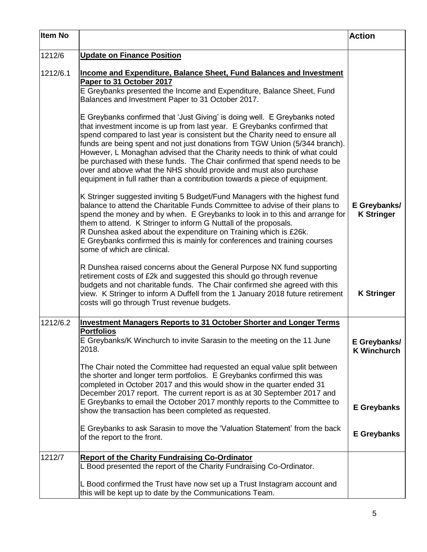| <b>Item No</b> |                                                                                                                                                                                                                                                                                                                                                                                                                                                                                                                                                                                                                                  | <b>Action</b>                      |
|----------------|----------------------------------------------------------------------------------------------------------------------------------------------------------------------------------------------------------------------------------------------------------------------------------------------------------------------------------------------------------------------------------------------------------------------------------------------------------------------------------------------------------------------------------------------------------------------------------------------------------------------------------|------------------------------------|
| 1212/6         | <b>Update on Finance Position</b>                                                                                                                                                                                                                                                                                                                                                                                                                                                                                                                                                                                                |                                    |
| 1212/6.1       | <b>Income and Expenditure, Balance Sheet, Fund Balances and Investment</b><br>Paper to 31 October 2017<br>E Greybanks presented the Income and Expenditure, Balance Sheet, Fund<br>Balances and Investment Paper to 31 October 2017.                                                                                                                                                                                                                                                                                                                                                                                             |                                    |
|                | E Greybanks confirmed that 'Just Giving' is doing well. E Greybanks noted<br>that investment income is up from last year. E Greybanks confirmed that<br>spend compared to last year is consistent but the Charity need to ensure all<br>funds are being spent and not just donations from TGW Union (5/344 branch).<br>However, L Monaghan advised that the Charity needs to think of what could<br>be purchased with these funds. The Chair confirmed that spend needs to be<br>over and above what the NHS should provide and must also purchase<br>equipment in full rather than a contribution towards a piece of equipment. |                                    |
|                | K Stringer suggested inviting 5 Budget/Fund Managers with the highest fund<br>balance to attend the Charitable Funds Committee to advise of their plans to<br>spend the money and by when. E Greybanks to look in to this and arrange for<br>them to attend. K Stringer to inform G Nuttall of the proposals.<br>R Dunshea asked about the expenditure on Training which is £26k.<br>E Greybanks confirmed this is mainly for conferences and training courses<br>some of which are clinical.                                                                                                                                    | E Greybanks/<br><b>K Stringer</b>  |
|                | R Dunshea raised concerns about the General Purpose NX fund supporting<br>retirement costs of £2k and suggested this should go through revenue<br>budgets and not charitable funds. The Chair confirmed she agreed with this<br>view. K Stringer to inform A Duffell from the 1 January 2018 future retirement<br>costs will go through Trust revenue budgets.                                                                                                                                                                                                                                                                   | <b>K Stringer</b>                  |
| 1212/6.2       | <b>Investment Managers Reports to 31 October Shorter and Longer Terms</b>                                                                                                                                                                                                                                                                                                                                                                                                                                                                                                                                                        |                                    |
|                | <b>Portfolios</b><br>E Greybanks/K Winchurch to invite Sarasin to the meeting on the 11 June<br>2018.                                                                                                                                                                                                                                                                                                                                                                                                                                                                                                                            | E Greybanks/<br><b>K Winchurch</b> |
|                | The Chair noted the Committee had requested an equal value split between<br>the shorter and longer term portfolios. E Greybanks confirmed this was<br>completed in October 2017 and this would show in the quarter ended 31<br>December 2017 report. The current report is as at 30 September 2017 and<br>E Greybanks to email the October 2017 monthly reports to the Committee to                                                                                                                                                                                                                                              | <b>E</b> Greybanks                 |
|                | show the transaction has been completed as requested.                                                                                                                                                                                                                                                                                                                                                                                                                                                                                                                                                                            |                                    |
|                | E Greybanks to ask Sarasin to move the 'Valuation Statement' from the back<br>of the report to the front.                                                                                                                                                                                                                                                                                                                                                                                                                                                                                                                        | <b>E</b> Greybanks                 |
| 1212/7         | <b>Report of the Charity Fundraising Co-Ordinator</b><br>L Bood presented the report of the Charity Fundraising Co-Ordinator.                                                                                                                                                                                                                                                                                                                                                                                                                                                                                                    |                                    |
|                | L Bood confirmed the Trust have now set up a Trust Instagram account and<br>this will be kept up to date by the Communications Team.                                                                                                                                                                                                                                                                                                                                                                                                                                                                                             |                                    |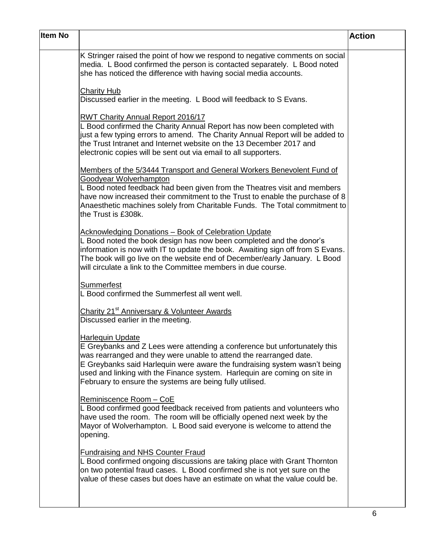| <b>Item No</b> |                                                                                                                                                                                                                                                                                                                                                                                                  | <b>Action</b> |
|----------------|--------------------------------------------------------------------------------------------------------------------------------------------------------------------------------------------------------------------------------------------------------------------------------------------------------------------------------------------------------------------------------------------------|---------------|
|                | K Stringer raised the point of how we respond to negative comments on social<br>media. L Bood confirmed the person is contacted separately. L Bood noted<br>she has noticed the difference with having social media accounts.                                                                                                                                                                    |               |
|                | <b>Charity Hub</b><br>Discussed earlier in the meeting. L Bood will feedback to S Evans.                                                                                                                                                                                                                                                                                                         |               |
|                | RWT Charity Annual Report 2016/17<br>L Bood confirmed the Charity Annual Report has now been completed with<br>just a few typing errors to amend. The Charity Annual Report will be added to<br>the Trust Intranet and Internet website on the 13 December 2017 and<br>electronic copies will be sent out via email to all supporters.                                                           |               |
|                | Members of the 5/3444 Transport and General Workers Benevolent Fund of<br>Goodyear Wolverhampton<br>L Bood noted feedback had been given from the Theatres visit and members<br>have now increased their commitment to the Trust to enable the purchase of 8<br>Anaesthetic machines solely from Charitable Funds. The Total commitment to<br>the Trust is £308k.                                |               |
|                | Acknowledging Donations - Book of Celebration Update<br>L Bood noted the book design has now been completed and the donor's<br>information is now with IT to update the book. Awaiting sign off from S Evans.<br>The book will go live on the website end of December/early January. L Bood<br>will circulate a link to the Committee members in due course.                                     |               |
|                | Summerfest<br>L Bood confirmed the Summerfest all went well.                                                                                                                                                                                                                                                                                                                                     |               |
|                | Charity 21 <sup>st</sup> Anniversary & Volunteer Awards<br>Discussed earlier in the meeting.                                                                                                                                                                                                                                                                                                     |               |
|                | <b>Harlequin Update</b><br>E Greybanks and Z Lees were attending a conference but unfortunately this<br>was rearranged and they were unable to attend the rearranged date.<br>E Greybanks said Harlequin were aware the fundraising system wasn't being<br>used and linking with the Finance system. Harlequin are coming on site in<br>February to ensure the systems are being fully utilised. |               |
|                | Reminiscence Room - CoE<br>L Bood confirmed good feedback received from patients and volunteers who<br>have used the room. The room will be officially opened next week by the<br>Mayor of Wolverhampton. L Bood said everyone is welcome to attend the<br>opening.                                                                                                                              |               |
|                | <b>Fundraising and NHS Counter Fraud</b><br>L Bood confirmed ongoing discussions are taking place with Grant Thornton<br>on two potential fraud cases. L Bood confirmed she is not yet sure on the<br>value of these cases but does have an estimate on what the value could be.                                                                                                                 |               |
|                |                                                                                                                                                                                                                                                                                                                                                                                                  |               |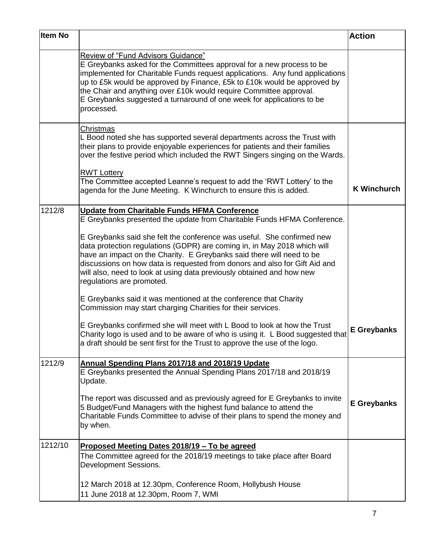| <b>Item No</b> |                                                                                                                                                                                                                                                                                                                                                                                                                                                                                                                                                                                                                                                                                                                                                                                                                                                                                                                                         | <b>Action</b>      |
|----------------|-----------------------------------------------------------------------------------------------------------------------------------------------------------------------------------------------------------------------------------------------------------------------------------------------------------------------------------------------------------------------------------------------------------------------------------------------------------------------------------------------------------------------------------------------------------------------------------------------------------------------------------------------------------------------------------------------------------------------------------------------------------------------------------------------------------------------------------------------------------------------------------------------------------------------------------------|--------------------|
|                | <b>Review of "Fund Advisors Guidance"</b><br>E Greybanks asked for the Committees approval for a new process to be<br>implemented for Charitable Funds request applications. Any fund applications<br>up to £5k would be approved by Finance, £5k to £10k would be approved by<br>the Chair and anything over £10k would require Committee approval.<br>E Greybanks suggested a turnaround of one week for applications to be<br>processed.                                                                                                                                                                                                                                                                                                                                                                                                                                                                                             |                    |
|                | Christmas<br>L Bood noted she has supported several departments across the Trust with<br>their plans to provide enjoyable experiences for patients and their families<br>over the festive period which included the RWT Singers singing on the Wards.                                                                                                                                                                                                                                                                                                                                                                                                                                                                                                                                                                                                                                                                                   |                    |
|                | <b>RWT Lottery</b><br>The Committee accepted Leanne's request to add the 'RWT Lottery' to the<br>agenda for the June Meeting. K Winchurch to ensure this is added.                                                                                                                                                                                                                                                                                                                                                                                                                                                                                                                                                                                                                                                                                                                                                                      | <b>K Winchurch</b> |
| 1212/8         | <u><b>Update from Charitable Funds HFMA Conference</b></u><br>E Greybanks presented the update from Charitable Funds HFMA Conference.<br>E Greybanks said she felt the conference was useful. She confirmed new<br>data protection regulations (GDPR) are coming in, in May 2018 which will<br>have an impact on the Charity. E Greybanks said there will need to be<br>discussions on how data is requested from donors and also for Gift Aid and<br>will also, need to look at using data previously obtained and how new<br>regulations are promoted.<br>E Greybanks said it was mentioned at the conference that Charity<br>Commission may start charging Charities for their services.<br>E Greybanks confirmed she will meet with L Bood to look at how the Trust<br>Charity logo is used and to be aware of who is using it. L Bood suggested that<br>a draft should be sent first for the Trust to approve the use of the logo. | <b>E</b> Greybanks |
| 1212/9         | Annual Spending Plans 2017/18 and 2018/19 Update<br>E Greybanks presented the Annual Spending Plans 2017/18 and 2018/19<br>Update.<br>The report was discussed and as previously agreed for E Greybanks to invite<br>5 Budget/Fund Managers with the highest fund balance to attend the<br>Charitable Funds Committee to advise of their plans to spend the money and<br>by when.                                                                                                                                                                                                                                                                                                                                                                                                                                                                                                                                                       | <b>E</b> Greybanks |
| 1212/10        | Proposed Meeting Dates 2018/19 - To be agreed<br>The Committee agreed for the 2018/19 meetings to take place after Board<br>Development Sessions.<br>12 March 2018 at 12.30pm, Conference Room, Hollybush House<br>11 June 2018 at 12.30pm, Room 7, WMI                                                                                                                                                                                                                                                                                                                                                                                                                                                                                                                                                                                                                                                                                 |                    |